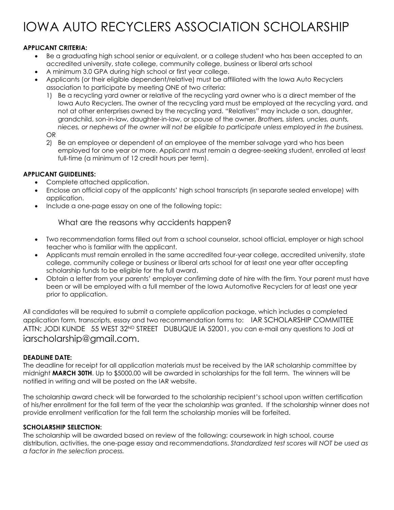# IOWA AUTO RECYCLERS ASSOCIATION SCHOLARSHIP

### **APPLICANT CRITERIA:**

- Be a graduating high school senior or equivalent, or a college student who has been accepted to an accredited university, state college, community college, business or liberal arts school
- A minimum 3.0 GPA during high school or first year college.
- Applicants (or their eligible dependent/relative) must be affiliated with the Iowa Auto Recyclers association to participate by meeting ONE of two criteria:
	- 1) Be a recycling yard owner or relative of the recycling yard owner who is a direct member of the Iowa Auto Recyclers. The owner of the recycling yard must be employed at the recycling yard, and not at other enterprises owned by the recycling yard. "Relatives" may include a son, daughter, grandchild, son-in-law, daughter-in-law, or spouse of the owner. *Brothers, sisters, uncles, aunts, nieces, or nephews of the owner will not be eligible to participate unless employed in the business.*

OR

2) Be an employee or dependent of an employee of the member salvage yard who has been employed for one year or more. Applicant must remain a degree-seeking student, enrolled at least full-time (a minimum of 12 credit hours per term).

#### **APPLICANT GUIDELINES:**

- Complete attached application.
- Enclose an official copy of the applicants' high school transcripts (in separate sealed envelope) with application.
- Include a one-page essay on one of the following topic:

### What are the reasons why accidents happen?

- Two recommendation forms filled out from a school counselor, school official, employer or high school teacher who is familiar with the applicant.
- Applicants must remain enrolled in the same accredited four-year college, accredited university, state college, community college or business or liberal arts school for at least one year after accepting scholarship funds to be eligible for the full award.
- Obtain a letter from your parents' employer confirming date of hire with the firm. Your parent must have been or will be employed with a full member of the Iowa Automotive Recyclers for at least one year prior to application.

All candidates will be required to submit a complete application package, which includes a completed application form, transcripts, essay and two recommendation forms to: IAR SCHOLARSHIP COMMITTEE ATTN: JODI KUNDE 55 WEST 32<sup>ND</sup> STREET DUBUQUE IA 52001, you can e-mail any questions to Jodi at iarscholarship@gmail.com.

#### **DEADLINE DATE:**

The deadline for receipt for all application materials must be received by the IAR scholarship committee by midnight **MARCH 30TH**. Up to \$5000.00 will be awarded in scholarships for the fall term. The winners will be notified in writing and will be posted on the IAR website.

The scholarship award check will be forwarded to the scholarship recipient's school upon written certification of his/her enrollment for the fall term of the year the scholarship was granted. If the scholarship winner does not provide enrollment verification for the fall term the scholarship monies will be forfeited.

#### **SCHOLARSHIP SELECTION:**

The scholarship will be awarded based on review of the following: coursework in high school, course distribution, activities, the one-page essay and recommendations. *Standardized test scores will NOT be used as a factor in the selection process.*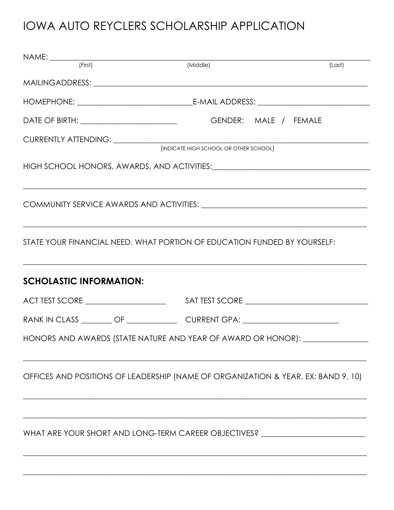# IOWA AUTO REYCLERS SCHOLARSHIP APPLICATION

|                                                                          | $NAME:$ $(First)$ | (Middle)                                                                                                              | (Last) |  |
|--------------------------------------------------------------------------|-------------------|-----------------------------------------------------------------------------------------------------------------------|--------|--|
|                                                                          |                   |                                                                                                                       |        |  |
|                                                                          |                   |                                                                                                                       |        |  |
|                                                                          |                   |                                                                                                                       |        |  |
|                                                                          |                   | (INDICATE HIGH SCHOOL OR OTHER SCHOOL)                                                                                |        |  |
|                                                                          |                   | <u> 1989 - Johann Harry Harry Harry Harry Harry Harry Harry Harry Harry Harry Harry Harry Harry Harry Harry Harry</u> |        |  |
|                                                                          |                   |                                                                                                                       |        |  |
| STATE YOUR FINANCIAL NEED. WHAT PORTION OF EDUCATION FUNDED BY YOURSELF: |                   |                                                                                                                       |        |  |
| <b>SCHOLASTIC INFORMATION:</b>                                           |                   |                                                                                                                       |        |  |
|                                                                          |                   |                                                                                                                       |        |  |
|                                                                          |                   |                                                                                                                       |        |  |
|                                                                          |                   | HONORS AND AWARDS (STATE NATURE AND YEAR OF AWARD OR HONOR): ________                                                 |        |  |
|                                                                          |                   | OFFICES AND POSITIONS OF LEADERSHIP (NAME OF ORGANIZATION & YEAR, EX: BAND 9, 10)                                     |        |  |
|                                                                          |                   | WHAT ARE YOUR SHORT AND LONG-TERM CAREER OBJECTIVES? ___________________________                                      |        |  |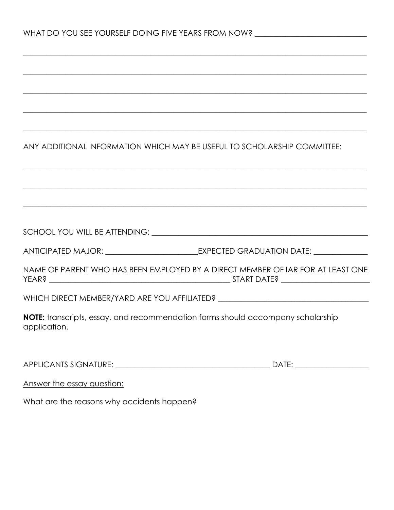|                            | ,我们也不能会有一个人的人,我们也不能会有一个人的人,我们也不能会有一个人的人,我们也不能会有一个人的人,我们也不能会有一个人的人。""我们的人,我们也不能会有一 |
|----------------------------|-----------------------------------------------------------------------------------|
|                            |                                                                                   |
|                            | ANY ADDITIONAL INFORMATION WHICH MAY BE USEFUL TO SCHOLARSHIP COMMITTEE:          |
|                            | ,我们也不能会有什么。""我们的人,我们也不能会有什么?""我们的人,我们也不能会有什么?""我们的人,我们也不能会有什么?""我们的人,我们也不能会有什么?"" |
|                            | ,我们也不能在这里的时候,我们也不能在这里的时候,我们也不能在这里的时候,我们也不能会在这里的时候,我们也不能会在这里的时候,我们也不能会在这里的时候,我们也不能 |
|                            |                                                                                   |
|                            |                                                                                   |
|                            | NAME OF PARENT WHO HAS BEEN EMPLOYED BY A DIRECT MEMBER OF IAR FOR AT LEAST ONE   |
|                            | WHICH DIRECT MEMBER/YARD ARE YOU AFFILIATED? ___________________________________  |
| application.               | NOTE: transcripts, essay, and recommendation forms should accompany scholarship   |
|                            |                                                                                   |
| Answer the essay question: |                                                                                   |

What are the reasons why accidents happen?